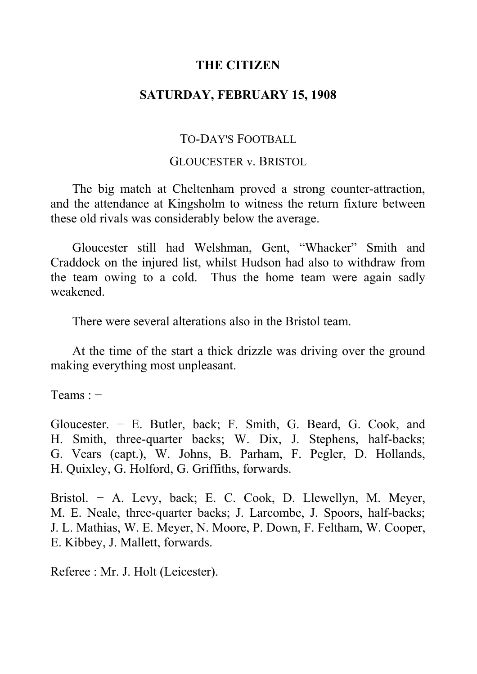## **THE CITIZEN**

# **SATURDAY, FEBRUARY 15, 1908**

## TO-DAY'S FOOTBALL

### GLOUCESTER v. BRISTOL

The big match at Cheltenham proved a strong counter-attraction, and the attendance at Kingsholm to witness the return fixture between these old rivals was considerably below the average.

Gloucester still had Welshman, Gent, "Whacker" Smith and Craddock on the injured list, whilst Hudson had also to withdraw from the team owing to a cold. Thus the home team were again sadly weakened.

There were several alterations also in the Bristol team.

At the time of the start a thick drizzle was driving over the ground making everything most unpleasant.

Teams : −

Gloucester. − E. Butler, back; F. Smith, G. Beard, G. Cook, and H. Smith, three-quarter backs; W. Dix, J. Stephens, half-backs; G. Vears (capt.), W. Johns, B. Parham, F. Pegler, D. Hollands, H. Quixley, G. Holford, G. Griffiths, forwards.

Bristol. − A. Levy, back; E. C. Cook, D. Llewellyn, M. Meyer, M. E. Neale, three-quarter backs; J. Larcombe, J. Spoors, half-backs; J. L. Mathias, W. E. Meyer, N. Moore, P. Down, F. Feltham, W. Cooper, E. Kibbey, J. Mallett, forwards.

Referee : Mr. J. Holt (Leicester).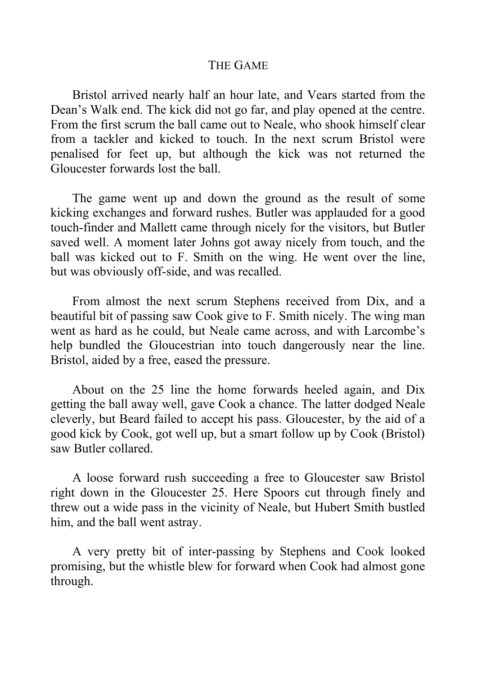#### THE GAME

Bristol arrived nearly half an hour late, and Vears started from the Dean's Walk end. The kick did not go far, and play opened at the centre. From the first scrum the ball came out to Neale, who shook himself clear from a tackler and kicked to touch. In the next scrum Bristol were penalised for feet up, but although the kick was not returned the Gloucester forwards lost the ball.

The game went up and down the ground as the result of some kicking exchanges and forward rushes. Butler was applauded for a good touch-finder and Mallett came through nicely for the visitors, but Butler saved well. A moment later Johns got away nicely from touch, and the ball was kicked out to F. Smith on the wing. He went over the line, but was obviously off-side, and was recalled.

From almost the next scrum Stephens received from Dix, and a beautiful bit of passing saw Cook give to F. Smith nicely. The wing man went as hard as he could, but Neale came across, and with Larcombe's help bundled the Gloucestrian into touch dangerously near the line. Bristol, aided by a free, eased the pressure.

About on the 25 line the home forwards heeled again, and Dix getting the ball away well, gave Cook a chance. The latter dodged Neale cleverly, but Beard failed to accept his pass. Gloucester, by the aid of a good kick by Cook, got well up, but a smart follow up by Cook (Bristol) saw Butler collared.

A loose forward rush succeeding a free to Gloucester saw Bristol right down in the Gloucester 25. Here Spoors cut through finely and threw out a wide pass in the vicinity of Neale, but Hubert Smith bustled him, and the ball went astray.

A very pretty bit of inter-passing by Stephens and Cook looked promising, but the whistle blew for forward when Cook had almost gone through.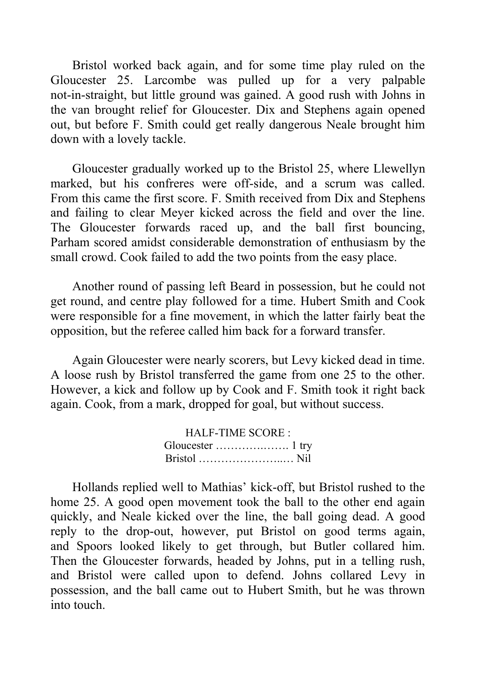Bristol worked back again, and for some time play ruled on the Gloucester 25. Larcombe was pulled up for a very palpable not-in-straight, but little ground was gained. A good rush with Johns in the van brought relief for Gloucester. Dix and Stephens again opened out, but before F. Smith could get really dangerous Neale brought him down with a lovely tackle.

Gloucester gradually worked up to the Bristol 25, where Llewellyn marked, but his confreres were off-side, and a scrum was called. From this came the first score. F. Smith received from Dix and Stephens and failing to clear Meyer kicked across the field and over the line. The Gloucester forwards raced up, and the ball first bouncing, Parham scored amidst considerable demonstration of enthusiasm by the small crowd. Cook failed to add the two points from the easy place.

Another round of passing left Beard in possession, but he could not get round, and centre play followed for a time. Hubert Smith and Cook were responsible for a fine movement, in which the latter fairly beat the opposition, but the referee called him back for a forward transfer.

Again Gloucester were nearly scorers, but Levy kicked dead in time. A loose rush by Bristol transferred the game from one 25 to the other. However, a kick and follow up by Cook and F. Smith took it right back again. Cook, from a mark, dropped for goal, but without success.

| <b>HALF-TIME SCORE:</b>                            |  |
|----------------------------------------------------|--|
|                                                    |  |
| Bristol $\dots\dots\dots\dots\dots\dots\dots\dots$ |  |

Hollands replied well to Mathias' kick-off, but Bristol rushed to the home 25. A good open movement took the ball to the other end again quickly, and Neale kicked over the line, the ball going dead. A good reply to the drop-out, however, put Bristol on good terms again, and Spoors looked likely to get through, but Butler collared him. Then the Gloucester forwards, headed by Johns, put in a telling rush, and Bristol were called upon to defend. Johns collared Levy in possession, and the ball came out to Hubert Smith, but he was thrown into touch.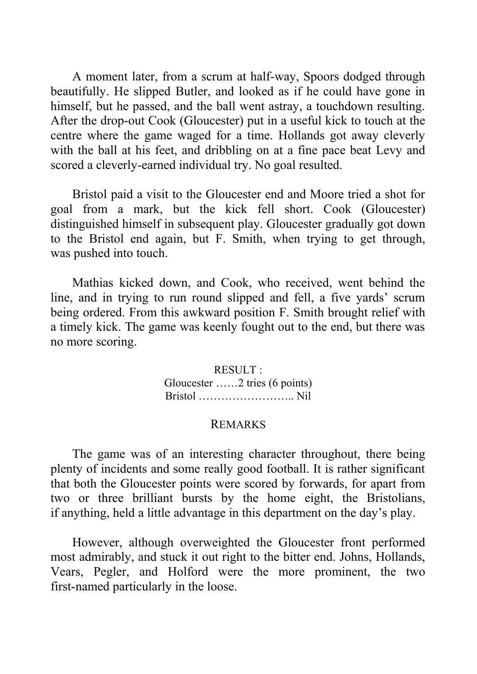A moment later, from a scrum at half-way, Spoors dodged through beautifully. He slipped Butler, and looked as if he could have gone in himself, but he passed, and the ball went astray, a touchdown resulting. After the drop-out Cook (Gloucester) put in a useful kick to touch at the centre where the game waged for a time. Hollands got away cleverly with the ball at his feet, and dribbling on at a fine pace beat Levy and scored a cleverly-earned individual try. No goal resulted.

Bristol paid a visit to the Gloucester end and Moore tried a shot for goal from a mark, but the kick fell short. Cook (Gloucester) distinguished himself in subsequent play. Gloucester gradually got down to the Bristol end again, but F. Smith, when trying to get through, was pushed into touch.

Mathias kicked down, and Cook, who received, went behind the line, and in trying to run round slipped and fell, a five yards' scrum being ordered. From this awkward position F. Smith brought relief with a timely kick. The game was keenly fought out to the end, but there was no more scoring.

> RESULT : Gloucester ……2 tries (6 points) Bristol …………………….. Nil

#### REMARKS

The game was of an interesting character throughout, there being plenty of incidents and some really good football. It is rather significant that both the Gloucester points were scored by forwards, for apart from two or three brilliant bursts by the home eight, the Bristolians, if anything, held a little advantage in this department on the day's play.

However, although overweighted the Gloucester front performed most admirably, and stuck it out right to the bitter end. Johns, Hollands, Vears, Pegler, and Holford were the more prominent, the two first-named particularly in the loose.